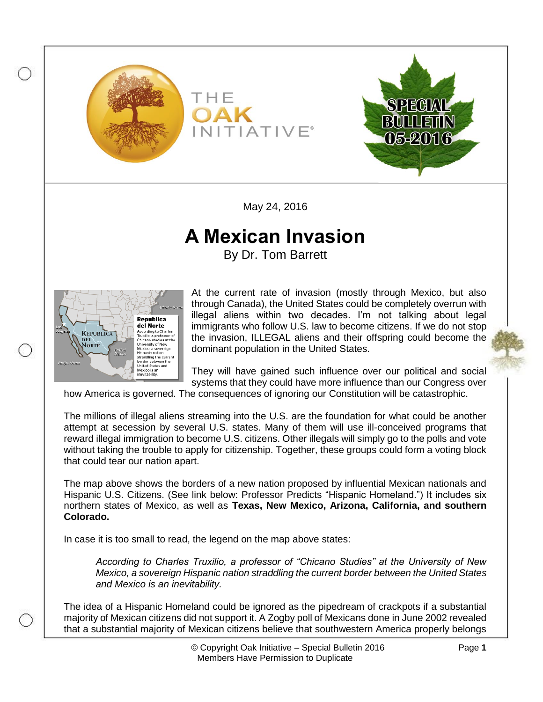



May 24, 2016

## **A Mexican Invasion**

By Dr. Tom Barrett



At the current rate of invasion (mostly through Mexico, but also through Canada), the United States could be completely overrun with illegal aliens within two decades. I'm not talking about legal immigrants who follow U.S. law to become citizens. If we do not stop the invasion, ILLEGAL aliens and their offspring could become the dominant population in the United States.

They will have gained such influence over our political and social systems that they could have more influence than our Congress over

how America is governed. The consequences of ignoring our Constitution will be catastrophic.

The millions of illegal aliens streaming into the U.S. are the foundation for what could be another attempt at secession by several U.S. states. Many of them will use ill-conceived programs that reward illegal immigration to become U.S. citizens. Other illegals will simply go to the polls and vote without taking the trouble to apply for citizenship. Together, these groups could form a voting block that could tear our nation apart.

The map above shows the borders of a new nation proposed by influential Mexican nationals and Hispanic U.S. Citizens. (See link below: Professor Predicts "Hispanic Homeland.") It includes six northern states of Mexico, as well as **Texas, New Mexico, Arizona, California, and southern Colorado.**

In case it is too small to read, the legend on the map above states:

*According to Charles Truxilio, a professor of "Chicano Studies" at the University of New Mexico, a sovereign Hispanic nation straddling the current border between the United States and Mexico is an inevitability.*

The idea of a Hispanic Homeland could be ignored as the pipedream of crackpots if a substantial majority of Mexican citizens did not support it. A Zogby poll of Mexicans done in June 2002 revealed that a substantial majority of Mexican citizens believe that southwestern America properly belongs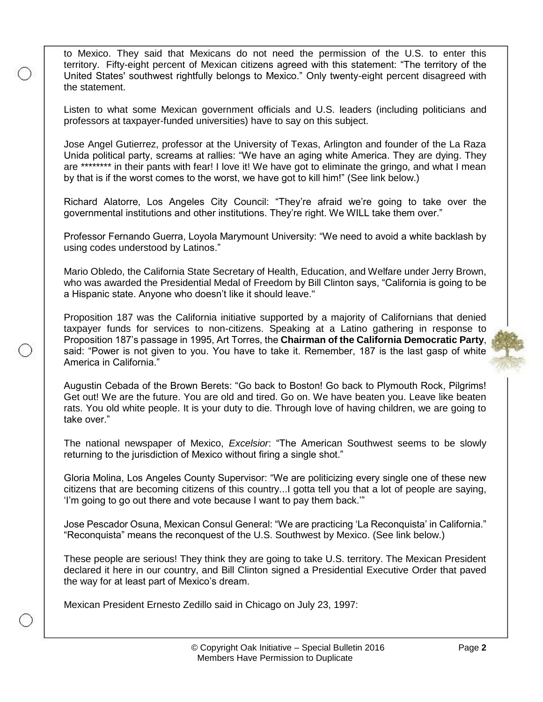to Mexico. They said that Mexicans do not need the permission of the U.S. to enter this territory. Fifty-eight percent of Mexican citizens agreed with this statement: "The territory of the United States' southwest rightfully belongs to Mexico." Only twenty-eight percent disagreed with the statement.

Listen to what some Mexican government officials and U.S. leaders (including politicians and professors at taxpayer-funded universities) have to say on this subject.

Jose Angel Gutierrez, professor at the University of Texas, Arlington and founder of the La Raza Unida political party, screams at rallies: "We have an aging white America. They are dying. They are \*\*\*\*\*\*\*\* in their pants with fear! I love it! We have got to eliminate the gringo, and what I mean by that is if the worst comes to the worst, we have got to kill him!" (See link below.)

Richard Alatorre, Los Angeles City Council: "They're afraid we're going to take over the governmental institutions and other institutions. They're right. We WILL take them over."

Professor Fernando Guerra, Loyola Marymount University: "We need to avoid a white backlash by using codes understood by Latinos."

Mario Obledo, the California State Secretary of Health, Education, and Welfare under Jerry Brown, who was awarded the Presidential Medal of Freedom by Bill Clinton says, "California is going to be a Hispanic state. Anyone who doesn't like it should leave."

Proposition 187 was the California initiative supported by a majority of Californians that denied taxpayer funds for services to non-citizens. Speaking at a Latino gathering in response to Proposition 187's passage in 1995, Art Torres, the **Chairman of the California Democratic Party**, said: "Power is not given to you. You have to take it. Remember, 187 is the last gasp of white America in California."

Augustin Cebada of the Brown Berets: "Go back to Boston! Go back to Plymouth Rock, Pilgrims! Get out! We are the future. You are old and tired. Go on. We have beaten you. Leave like beaten rats. You old white people. It is your duty to die. Through love of having children, we are going to take over."

The national newspaper of Mexico, *Excelsior*: "The American Southwest seems to be slowly returning to the jurisdiction of Mexico without firing a single shot."

Gloria Molina, Los Angeles County Supervisor: "We are politicizing every single one of these new citizens that are becoming citizens of this country...I gotta tell you that a lot of people are saying, 'I'm going to go out there and vote because I want to pay them back.'"

Jose Pescador Osuna, Mexican Consul General: "We are practicing 'La Reconquista' in California." "Reconquista" means the reconquest of the U.S. Southwest by Mexico. (See link below.)

These people are serious! They think they are going to take U.S. territory. The Mexican President declared it here in our country, and Bill Clinton signed a Presidential Executive Order that paved the way for at least part of Mexico's dream.

Mexican President Ernesto Zedillo said in Chicago on July 23, 1997: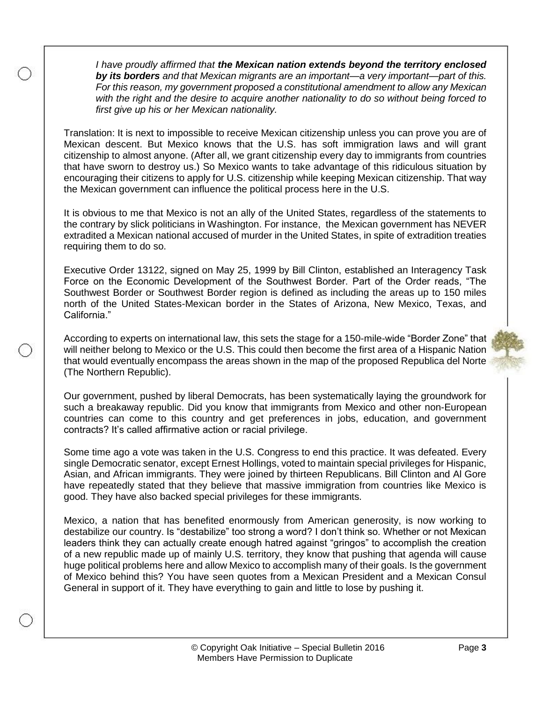*I have proudly affirmed that the Mexican nation extends beyond the territory enclosed by its borders and that Mexican migrants are an important—a very important—part of this. For this reason, my government proposed a constitutional amendment to allow any Mexican with the right and the desire to acquire another nationality to do so without being forced to first give up his or her Mexican nationality.*

Translation: It is next to impossible to receive Mexican citizenship unless you can prove you are of Mexican descent. But Mexico knows that the U.S. has soft immigration laws and will grant citizenship to almost anyone. (After all, we grant citizenship every day to immigrants from countries that have sworn to destroy us.) So Mexico wants to take advantage of this ridiculous situation by encouraging their citizens to apply for U.S. citizenship while keeping Mexican citizenship. That way the Mexican government can influence the political process here in the U.S.

It is obvious to me that Mexico is not an ally of the United States, regardless of the statements to the contrary by slick politicians in Washington. For instance, the Mexican government has NEVER extradited a Mexican national accused of murder in the United States, in spite of extradition treaties requiring them to do so.

Executive Order 13122, signed on May 25, 1999 by Bill Clinton, established an Interagency Task Force on the Economic Development of the Southwest Border. Part of the Order reads, "The Southwest Border or Southwest Border region is defined as including the areas up to 150 miles north of the United States-Mexican border in the States of Arizona, New Mexico, Texas, and California."

According to experts on international law, this sets the stage for a 150-mile-wide "Border Zone" that will neither belong to Mexico or the U.S. This could then become the first area of a Hispanic Nation that would eventually encompass the areas shown in the map of the proposed Republica del Norte (The Northern Republic).

Our government, pushed by liberal Democrats, has been systematically laying the groundwork for such a breakaway republic. Did you know that immigrants from Mexico and other non-European countries can come to this country and get preferences in jobs, education, and government contracts? It's called affirmative action or racial privilege.

Some time ago a vote was taken in the U.S. Congress to end this practice. It was defeated. Every single Democratic senator, except Ernest Hollings, voted to maintain special privileges for Hispanic, Asian, and African immigrants. They were joined by thirteen Republicans. Bill Clinton and Al Gore have repeatedly stated that they believe that massive immigration from countries like Mexico is good. They have also backed special privileges for these immigrants.

Mexico, a nation that has benefited enormously from American generosity, is now working to destabilize our country. Is "destabilize" too strong a word? I don't think so. Whether or not Mexican leaders think they can actually create enough hatred against "gringos" to accomplish the creation of a new republic made up of mainly U.S. territory, they know that pushing that agenda will cause huge political problems here and allow Mexico to accomplish many of their goals. Is the government of Mexico behind this? You have seen quotes from a Mexican President and a Mexican Consul General in support of it. They have everything to gain and little to lose by pushing it.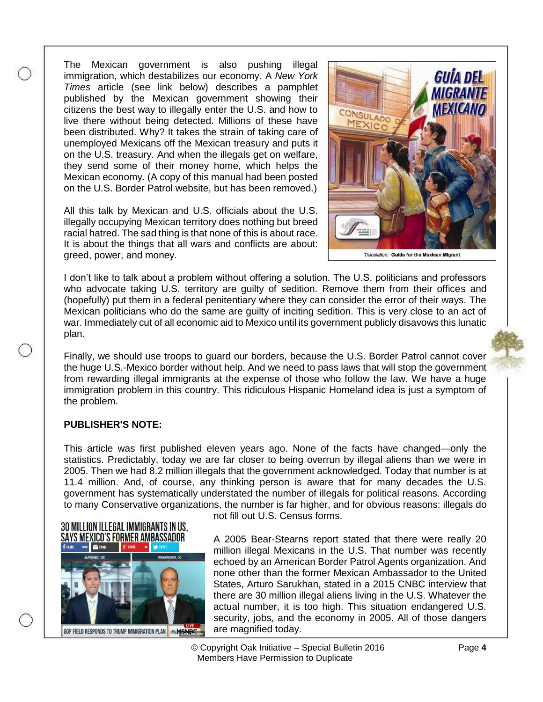The Mexican government is also pushing illegal immigration, which destabilizes our economy. A *New York Times* article (see link below) describes a pamphlet published by the Mexican government showing their citizens the best way to illegally enter the U.S. and how to live there without being detected. Millions of these have been distributed. Why? It takes the strain of taking care of unemployed Mexicans off the Mexican treasury and puts it on the U.S. treasury. And when the illegals get on welfare, they send some of their money home, which helps the Mexican economy. (A copy of this manual had been posted on the U.S. Border Patrol website, but has been removed.)

All this talk by Mexican and U.S. officials about the U.S. illegally occupying Mexican territory does nothing but breed racial hatred. The sad thing is that none of this is about race. It is about the things that all wars and conflicts are about: greed, power, and money.



Translation: Guide for the Mexican Migrant

I don't like to talk about a problem without offering a solution. The U.S. politicians and professors who advocate taking U.S. territory are guilty of sedition. Remove them from their offices and (hopefully) put them in a federal penitentiary where they can consider the error of their ways. The Mexican politicians who do the same are guilty of inciting sedition. This is very close to an act of war. Immediately cut of all economic aid to Mexico until its government publicly disavows this lunatic plan.

Finally, we should use troops to guard our borders, because the U.S. Border Patrol cannot cover the huge U.S.-Mexico border without help. And we need to pass laws that will stop the government from rewarding illegal immigrants at the expense of those who follow the law. We have a huge immigration problem in this country. This ridiculous Hispanic Homeland idea is just a symptom of the problem.

## **PUBLISHER'S NOTE:**

This article was first published eleven years ago. None of the facts have changed—only the statistics. Predictably, today we are far closer to being overrun by illegal aliens than we were in 2005. Then we had 8.2 million illegals that the government acknowledged. Today that number is at 11.4 million. And, of course, any thinking person is aware that for many decades the U.S. government has systematically understated the number of illegals for political reasons. According to many Conservative organizations, the number is far higher, and for obvious reasons: illegals do



not fill out U.S. Census forms.

A 2005 Bear-Stearns report stated that there were really 20 million illegal Mexicans in the U.S. That number was recently echoed by an American Border Patrol Agents organization. And none other than the former Mexican Ambassador to the United States, Arturo Sarukhan, stated in a 2015 CNBC interview that there are 30 million illegal aliens living in the U.S. Whatever the actual number, it is too high. This situation endangered U.S. security, jobs, and the economy in 2005. All of those dangers are magnified today.